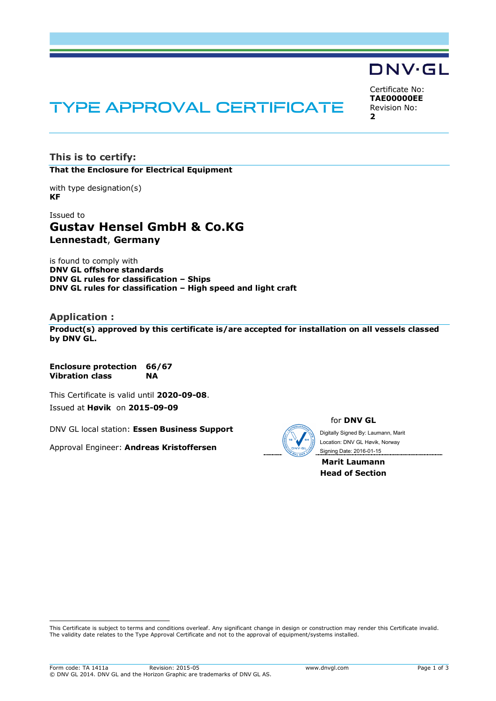# DNV·GL

Certificate No: **TAE00000EE** Revision No: **2**

# TYPE APPROVAL CERTIFICATE

**This is to certify: That the Enclosure for Electrical Equipment**

with type designation(s) **KF**

Issued to **Gustav Hensel GmbH & Co.KG Lennestadt**, **Germany**

is found to comply with **DNV GL offshore standards DNV GL rules for classification – Ships DNV GL rules for classification – High speed and light craft**

#### **Application :**

ı

**Product(s) approved by this certificate is/are accepted for installation on all vessels classed by DNV GL.**

**Enclosure protection 66/67 Vibration class NA**

This Certificate is valid until **2020-09-08**.

Issued at **Høvik** on **2015-09-09**

DNV GL local station: **Essen Business Support**

Approval Engineer: **Andreas Kristoffersen**



for **DNV GL**

Digitally Signed By: Laumann, Marit Signing Date: 2016-01-15 Location: DNV GL Høvik, Norway

**Marit Laumann Head of Section**

This Certificate is subject to terms and conditions overleaf. Any significant change in design or construction may render this Certificate invalid. The validity date relates to the Type Approval Certificate and not to the approval of equipment/systems installed.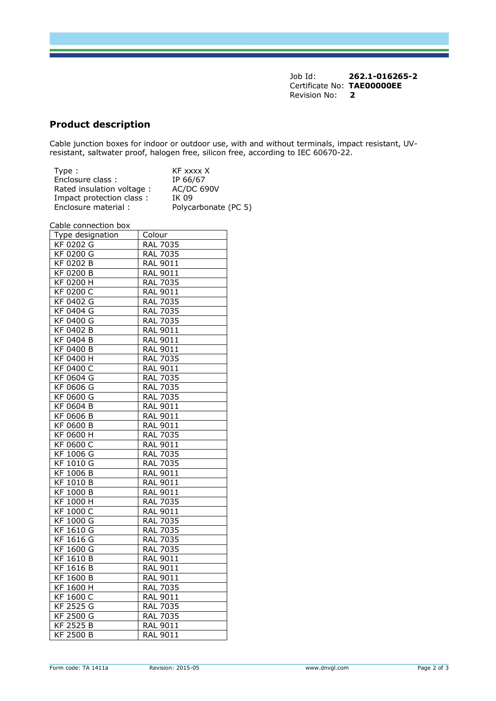Job Id: **262.1-016265-2** Certificate No: **TAE00000EE** Revision No: **2**

# **Product description**

Cable junction boxes for indoor or outdoor use, with and without terminals, impact resistant, UVresistant, saltwater proof, halogen free, silicon free, according to IEC 60670-22.

| Type:                     | KF xxxx X            |
|---------------------------|----------------------|
| Enclosure class:          | IP 66/67             |
| Rated insulation voltage: | <b>AC/DC 690V</b>    |
| Impact protection class:  | IK 09                |
| Enclosure material:       | Polycarbonate (PC 5) |

Cable connection box

| ייסט ווטוא                    |                 |
|-------------------------------|-----------------|
| Type designation              | Colour          |
| KF 0202 G                     | <b>RAL 7035</b> |
| KF 0200 G                     | <b>RAL 7035</b> |
| KF 0202 B                     | <b>RAL 9011</b> |
| KF 0200 B                     | RAL 9011        |
| $\overline{\text{KF}}$ 0200 H | <b>RAL 7035</b> |
| <b>KF 0200 C</b>              | <b>RAL 9011</b> |
| KF 0402 G                     | <b>RAL 7035</b> |
| KF 0404 G                     | RAL 7035        |
| KF 0400 G                     | <b>RAL 7035</b> |
| $\overline{\text{KF }0402}$ B | <b>RAL 9011</b> |
| KF 0404 B                     | RAL 9011        |
| KF 0400 B                     | RAL 9011        |
| <b>KF 0400 H</b>              | <b>RAL 7035</b> |
| KF 0400 C                     | <b>RAL 9011</b> |
| KF 0604 G                     | <b>RAL 7035</b> |
| KF 0606 G                     | <b>RAL 7035</b> |
| <b>KF 0600 G</b>              | <b>RAL 7035</b> |
| KF 0604 B                     | RAL 9011        |
| KF 0606 B                     | RAL 9011        |
| KF 0600 B                     | RAL 9011        |
| $\overline{\text{KF}}$ 0600 H | <b>RAL 7035</b> |
| KF 0600 C                     | RAL 9011        |
| KF 1006 G                     | <b>RAL 7035</b> |
| $\overline{\text{KF}}$ 1010 G | <b>RAL 7035</b> |
| $KF$ 1006 B                   | <b>RAL 9011</b> |
| KF 1010 B                     | <b>RAL 9011</b> |
| <b>KF 1000 B</b>              | RAL 9011        |
| $\overline{\text{KF}}$ 1000 H | <b>RAL 7035</b> |
| KF 1000 C                     | <b>RAL 9011</b> |
| KF 1000 G                     | RAL 7035        |
| KF 1610 G                     | <b>RAL 7035</b> |
| $\overline{\text{KF }1616}$ G | <b>RAL 7035</b> |
| <b>KF 1600 G</b>              | RAL 7035        |
| KF 1610 B                     | RAL 9011        |
| KF 1616 B                     | RAL 9011        |
| KF 1600 B                     | <b>RAL 9011</b> |
| KF 1600 H                     | RAL 7035        |
| KF 1600 C                     | RAL 9011        |
| <b>KF 2525 G</b>              | <b>RAL 7035</b> |
| KF 2500 G                     | <b>RAL 7035</b> |
| KF 2525 B                     | <b>RAL 9011</b> |
| KF 2500 B                     | <b>RAL 9011</b> |
|                               |                 |